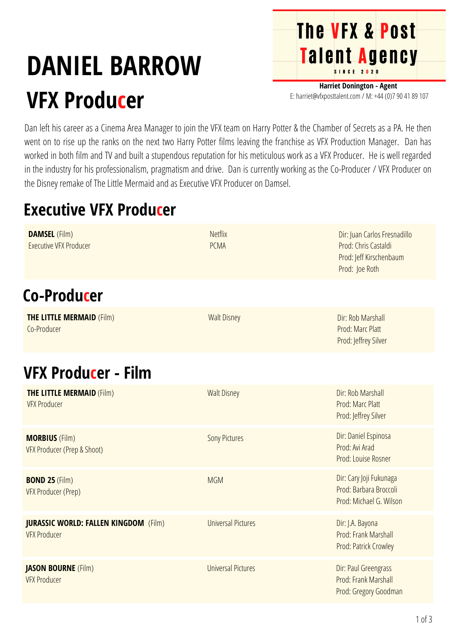## **DANIEL BARROW VFX Producer**

**Harriet Donington - Agent** E: harriet@vfxposttalent.com / M:+44(0)7904189107

**The VFX & Post** 

Talent Agency

Dan left his career as a Cinema Area Manager to join the VFX team on Harry Potter & the Chamber of Secrets as a PA. He then went on to rise up the ranks on the next two Harry Potter films leaving the franchise as VFX Production Manager. Dan has worked in both film and TV and built a stupendous reputation for his meticulous work as a VFX Producer. He is well regarded in the industry for his professionalism, pragmatism and drive. Dan is currently working as the Co-Producer / VFX Producer on the Disney remake of The Little Mermaid and as Executive VFX Producer on Damsel.

## **Executive VFX Producer**

| <b>DAMSEL</b> (Film)<br><b>Executive VFX Producer</b>               | <b>Netflix</b><br><b>PCMA</b> | Dir: Juan Carlos Fresnadillo<br>Prod: Chris Castaldi<br>Prod: Jeff Kirschenbaum<br>Prod: Joe Roth |
|---------------------------------------------------------------------|-------------------------------|---------------------------------------------------------------------------------------------------|
| Co-Producer                                                         |                               |                                                                                                   |
| <b>THE LITTLE MERMAID (Film)</b><br>Co-Producer                     | <b>Walt Disney</b>            | Dir: Rob Marshall<br>Prod: Marc Platt<br>Prod: Jeffrey Silver                                     |
| <b>VFX Producer - Film</b>                                          |                               |                                                                                                   |
| <b>THE LITTLE MERMAID (Film)</b><br><b>VFX Producer</b>             | <b>Walt Disney</b>            | Dir: Rob Marshall<br>Prod: Marc Platt<br>Prod: Jeffrey Silver                                     |
| <b>MORBIUS (Film)</b><br>VFX Producer (Prep & Shoot)                | <b>Sony Pictures</b>          | Dir: Daniel Espinosa<br>Prod: Avi Arad<br>Prod: Louise Rosner                                     |
| <b>BOND 25 (Film)</b><br>VFX Producer (Prep)                        | <b>MGM</b>                    | Dir: Cary Joji Fukunaga<br>Prod: Barbara Broccoli<br>Prod: Michael G. Wilson                      |
| <b>JURASSIC WORLD: FALLEN KINGDOM</b> (Film)<br><b>VFX Producer</b> | <b>Universal Pictures</b>     | Dir: J.A. Bayona<br>Prod: Frank Marshall<br>Prod: Patrick Crowley                                 |
| <b>JASON BOURNE</b> (Film)<br><b>VFX Producer</b>                   | <b>Universal Pictures</b>     | Dir: Paul Greengrass<br>Prod: Frank Marshall<br>Prod: Gregory Goodman                             |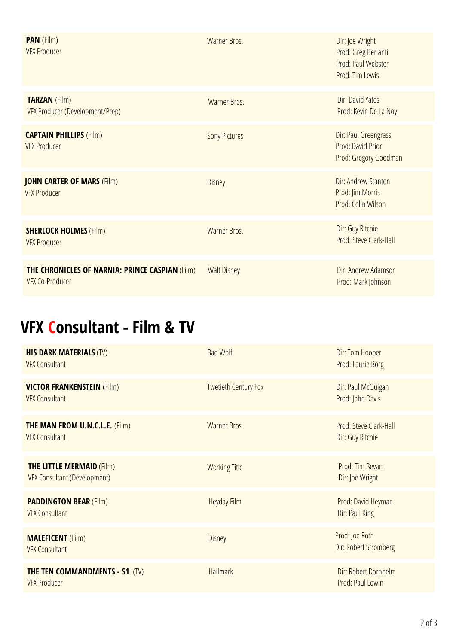| <b>PAN</b> (Film)<br><b>VFX Producer</b>                                         | Warner Bros.         | Dir: Joe Wright<br>Prod: Greg Berlanti<br>Prod: Paul Webster<br>Prod: Tim Lewis |
|----------------------------------------------------------------------------------|----------------------|---------------------------------------------------------------------------------|
| <b>TARZAN</b> (Film)<br>VFX Producer (Development/Prep)                          | Warner Bros.         | Dir: David Yates<br>Prod: Kevin De La Noy                                       |
| <b>CAPTAIN PHILLIPS (Film)</b><br><b>VFX Producer</b>                            | <b>Sony Pictures</b> | Dir: Paul Greengrass<br>Prod: David Prior<br>Prod: Gregory Goodman              |
| <b>JOHN CARTER OF MARS (Film)</b><br><b>VFX Producer</b>                         | Disney               | Dir: Andrew Stanton<br>Prod: Jim Morris<br>Prod: Colin Wilson                   |
| <b>SHERLOCK HOLMES (Film)</b><br><b>VFX Producer</b>                             | Warner Bros.         | Dir: Guy Ritchie<br>Prod: Steve Clark-Hall                                      |
| <b>THE CHRONICLES OF NARNIA: PRINCE CASPIAN (Film)</b><br><b>VFX Co-Producer</b> | <b>Walt Disney</b>   | Dir: Andrew Adamson<br>Prod: Mark Johnson                                       |

## **VFX Consultant - Film & TV**

| <b>HIS DARK MATERIALS (TV)</b><br><b>VFX Consultant</b>                 | <b>Bad Wolf</b>             | Dir: Tom Hooper<br>Prod: Laurie Borg       |
|-------------------------------------------------------------------------|-----------------------------|--------------------------------------------|
| <b>VICTOR FRANKENSTEIN (Film)</b><br><b>VFX Consultant</b>              | <b>Twetieth Century Fox</b> | Dir: Paul McGuigan<br>Prod: John Davis     |
| <b>THE MAN FROM U.N.C.L.E. (Film)</b><br><b>VFX Consultant</b>          | Warner Bros.                | Prod: Steve Clark-Hall<br>Dir: Guy Ritchie |
| <b>THE LITTLE MERMAID (Film)</b><br><b>VFX Consultant (Development)</b> | <b>Working Title</b>        | Prod: Tim Bevan<br>Dir: Joe Wright         |
| <b>PADDINGTON BEAR (Film)</b><br><b>VFX Consultant</b>                  | Heyday Film                 | Prod: David Heyman<br>Dir: Paul King       |
| <b>MALEFICENT</b> (Film)<br><b>VFX Consultant</b>                       | Disney                      | Prod: Joe Roth<br>Dir: Robert Stromberg    |
| <b>THE TEN COMMANDMENTS - S1 (TV)</b><br><b>VFX Producer</b>            | <b>Hallmark</b>             | Dir: Robert Dornhelm<br>Prod: Paul Lowin   |